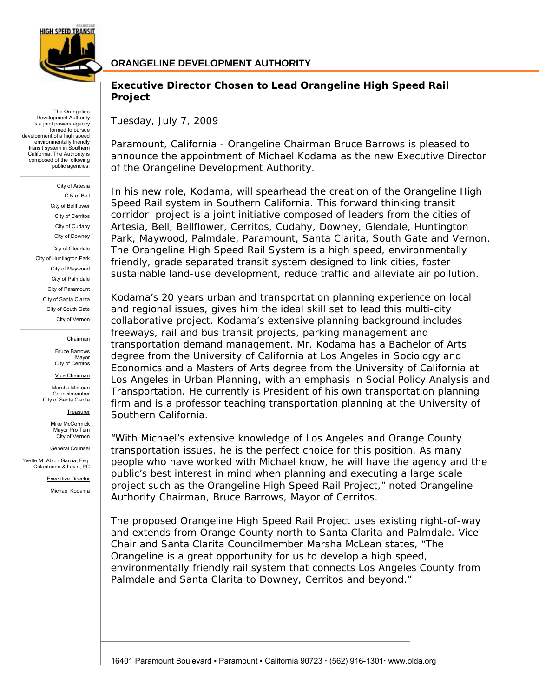

The Orangeline Development Authority is a joint powers agency formed to pursue development of a high speed environmentally friendly transit system in Southern California. The Authority is composed of the following public agencies:

> City of Artesia City of Bell City of Bellflower City of Cerritos City of Cudahy City of Downey City of Glendale City of Huntington Park City of Maywood City of Palmdale City of Paramount City of Santa Clarita City of South Gate City of Vernon

#### Chairman

Bruce Barrows Mayor City of Cerritos

Vice Chairman

Marsha McLean Councilmember City of Santa Clarita

**Treasurer** 

Mike McCormick Mayor Pro Tem City of Vernon

General Counsel

Yvette M. Abich Garcia, Esq. Colantuono & Levin, PC

Executive Director

Michael Kodama

## **ORANGELINE DEVELOPMENT AUTHORITY**

## **Executive Director Chosen to Lead Orangeline High Speed Rail Project**

Tuesday, July 7, 2009

Paramount, California - Orangeline Chairman Bruce Barrows is pleased to announce the appointment of Michael Kodama as the new Executive Director of the Orangeline Development Authority.

In his new role, Kodama, will spearhead the creation of the Orangeline High Speed Rail system in Southern California. This forward thinking transit corridor project is a joint initiative composed of leaders from the cities of Artesia, Bell, Bellflower, Cerritos, Cudahy, Downey, Glendale, Huntington Park, Maywood, Palmdale, Paramount, Santa Clarita, South Gate and Vernon. The Orangeline High Speed Rail System is a high speed, environmentally friendly, grade separated transit system designed to link cities, foster sustainable land-use development, reduce traffic and alleviate air pollution.

Kodama's 20 years urban and transportation planning experience on local and regional issues, gives him the ideal skill set to lead this multi-city collaborative project. Kodama's extensive planning background includes freeways, rail and bus transit projects, parking management and transportation demand management. Mr. Kodama has a Bachelor of Arts degree from the University of California at Los Angeles in Sociology and Economics and a Masters of Arts degree from the University of California at Los Angeles in Urban Planning, with an emphasis in Social Policy Analysis and Transportation. He currently is President of his own transportation planning firm and is a professor teaching transportation planning at the University of Southern California.

"With Michael's extensive knowledge of Los Angeles and Orange County transportation issues, he is the perfect choice for this position. As many people who have worked with Michael know, he will have the agency and the public's best interest in mind when planning and executing a large scale project such as the Orangeline High Speed Rail Project," noted Orangeline Authority Chairman, Bruce Barrows, Mayor of Cerritos.

The proposed Orangeline High Speed Rail Project uses existing right-of-way and extends from Orange County north to Santa Clarita and Palmdale. Vice Chair and Santa Clarita Councilmember Marsha McLean states, "The Orangeline is a great opportunity for us to develop a high speed, environmentally friendly rail system that connects Los Angeles County from Palmdale and Santa Clarita to Downey, Cerritos and beyond."